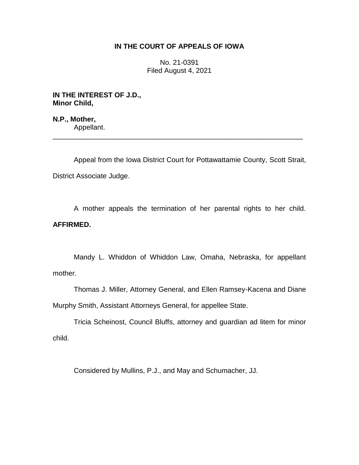## **IN THE COURT OF APPEALS OF IOWA**

No. 21-0391 Filed August 4, 2021

**IN THE INTEREST OF J.D., Minor Child,**

**N.P., Mother,** Appellant.

Appeal from the Iowa District Court for Pottawattamie County, Scott Strait, District Associate Judge.

\_\_\_\_\_\_\_\_\_\_\_\_\_\_\_\_\_\_\_\_\_\_\_\_\_\_\_\_\_\_\_\_\_\_\_\_\_\_\_\_\_\_\_\_\_\_\_\_\_\_\_\_\_\_\_\_\_\_\_\_\_\_\_\_

A mother appeals the termination of her parental rights to her child. **AFFIRMED.**

Mandy L. Whiddon of Whiddon Law, Omaha, Nebraska, for appellant mother.

Thomas J. Miller, Attorney General, and Ellen Ramsey-Kacena and Diane Murphy Smith, Assistant Attorneys General, for appellee State.

Tricia Scheinost, Council Bluffs, attorney and guardian ad litem for minor child.

Considered by Mullins, P.J., and May and Schumacher, JJ.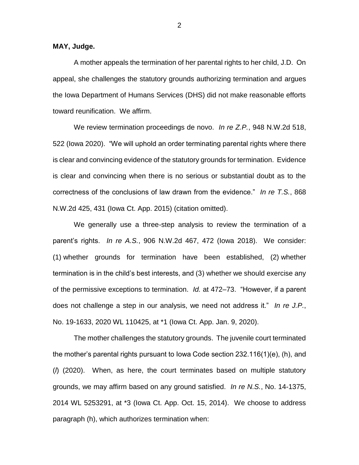**MAY, Judge.**

A mother appeals the termination of her parental rights to her child, J.D. On appeal, she challenges the statutory grounds authorizing termination and argues the Iowa Department of Humans Services (DHS) did not make reasonable efforts toward reunification. We affirm.

We review termination proceedings de novo. *In re Z.P.*, 948 N.W.2d 518, 522 (Iowa 2020). "We will uphold an order terminating parental rights where there is clear and convincing evidence of the statutory grounds for termination. Evidence is clear and convincing when there is no serious or substantial doubt as to the correctness of the conclusions of law drawn from the evidence." *In re T.S.*, 868 N.W.2d 425, 431 (Iowa Ct. App. 2015) (citation omitted).

We generally use a three-step analysis to review the termination of a parent's rights. *In re A.S.*, 906 N.W.2d 467, 472 (Iowa 2018). We consider: (1) whether grounds for termination have been established, (2) whether termination is in the child's best interests, and (3) whether we should exercise any of the permissive exceptions to termination. *Id.* at 472–73. "However, if a parent does not challenge a step in our analysis, we need not address it." *In re J.P.*, No. 19-1633, 2020 WL 110425, at \*1 (Iowa Ct. App. Jan. 9, 2020).

The mother challenges the statutory grounds. The juvenile court terminated the mother's parental rights pursuant to Iowa Code section 232.116(1)(e), (h), and (*l*) (2020). When, as here, the court terminates based on multiple statutory grounds, we may affirm based on any ground satisfied. *In re N.S.*, No. 14-1375, 2014 WL 5253291, at \*3 (Iowa Ct. App. Oct. 15, 2014). We choose to address paragraph (h), which authorizes termination when: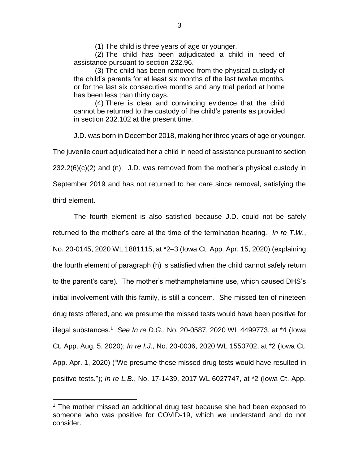(1) The child is three years of age or younger.

(2) The child has been adjudicated a child in need of assistance pursuant to section 232.96.

(3) The child has been removed from the physical custody of the child's parents for at least six months of the last twelve months, or for the last six consecutive months and any trial period at home has been less than thirty days.

(4) There is clear and convincing evidence that the child cannot be returned to the custody of the child's parents as provided in section 232.102 at the present time.

J.D. was born in December 2018, making her three years of age or younger.

The juvenile court adjudicated her a child in need of assistance pursuant to section

232.2(6)(c)(2) and (n). J.D. was removed from the mother's physical custody in

September 2019 and has not returned to her care since removal, satisfying the third element.

 $\overline{a}$ 

The fourth element is also satisfied because J.D. could not be safely returned to the mother's care at the time of the termination hearing. *In re T.W.*, No. 20-0145, 2020 WL 1881115, at \*2–3 (Iowa Ct. App. Apr. 15, 2020) (explaining the fourth element of paragraph (h) is satisfied when the child cannot safely return to the parent's care). The mother's methamphetamine use, which caused DHS's initial involvement with this family, is still a concern. She missed ten of nineteen drug tests offered, and we presume the missed tests would have been positive for illegal substances.<sup>1</sup> *See In re D.G.*, No. 20-0587, 2020 WL 4499773, at \*4 (Iowa Ct. App. Aug. 5, 2020); *In re I.J.*, No. 20-0036, 2020 WL 1550702, at \*2 (Iowa Ct. App. Apr. 1, 2020) ("We presume these missed drug tests would have resulted in positive tests."); *In re L.B.*, No. 17-1439, 2017 WL 6027747, at \*2 (Iowa Ct. App.

 $1$  The mother missed an additional drug test because she had been exposed to someone who was positive for COVID-19, which we understand and do not consider.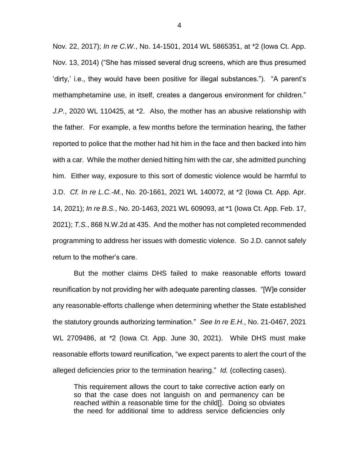Nov. 22, 2017); *In re C.W.*, No. 14-1501, 2014 WL 5865351, at \*2 (Iowa Ct. App. Nov. 13, 2014) ("She has missed several drug screens, which are thus presumed 'dirty,' i.e., they would have been positive for illegal substances."). "A parent's methamphetamine use, in itself, creates a dangerous environment for children." *J.P.*, 2020 WL 110425, at \*2. Also, the mother has an abusive relationship with the father. For example, a few months before the termination hearing, the father reported to police that the mother had hit him in the face and then backed into him with a car. While the mother denied hitting him with the car, she admitted punching him. Either way, exposure to this sort of domestic violence would be harmful to J.D. *Cf. In re L.C.-M.*, No. 20-1661, 2021 WL 140072, at \*2 (Iowa Ct. App. Apr. 14, 2021); *In re B.S.*, No. 20-1463, 2021 WL 609093, at \*1 (Iowa Ct. App. Feb. 17, 2021); *T.S.*, 868 N.W.2d at 435. And the mother has not completed recommended programming to address her issues with domestic violence. So J.D. cannot safely return to the mother's care.

But the mother claims DHS failed to make reasonable efforts toward reunification by not providing her with adequate parenting classes. "[W]e consider any reasonable-efforts challenge when determining whether the State established the statutory grounds authorizing termination." *See In re E.H.*, No. 21-0467, 2021 WL 2709486, at \*2 (Iowa Ct. App. June 30, 2021). While DHS must make reasonable efforts toward reunification, "we expect parents to alert the court of the alleged deficiencies prior to the termination hearing." *Id.* (collecting cases).

This requirement allows the court to take corrective action early on so that the case does not languish on and permanency can be reached within a reasonable time for the child[]. Doing so obviates the need for additional time to address service deficiencies only

4